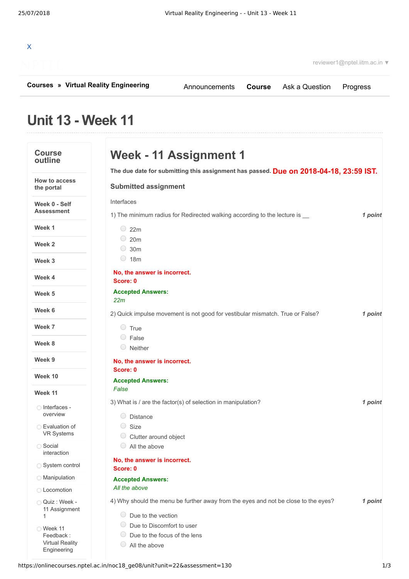| $\mathsf{x}$                                                         |                | reviewer1@nptel.iitm.ac.in ▼ |
|----------------------------------------------------------------------|----------------|------------------------------|
| <b>Courses » Virtual Reality Engineering</b><br>Announcements Course | Ask a Question | Progress                     |

## **Unit 13 - Week 11**

| <b>Course</b><br>outline                                        | Week - 11 Assignment 1                                                                                              |         |
|-----------------------------------------------------------------|---------------------------------------------------------------------------------------------------------------------|---------|
|                                                                 | The due date for submitting this assignment has passed. Due on 2018-04-18, 23:59 IST.                               |         |
| <b>How to access</b><br>the portal                              | <b>Submitted assignment</b>                                                                                         |         |
| Week 0 - Self<br><b>Assessment</b>                              | Interfaces<br>1) The minimum radius for Redirected walking according to the lecture is __                           | 1 point |
| Week 1                                                          | $\degree$ 22m                                                                                                       |         |
| Week 2                                                          | $\circ$ 20m<br>$\bigcirc$<br>30m                                                                                    |         |
| Week 3                                                          | $\bigcirc$<br>18 <sub>m</sub>                                                                                       |         |
| Week 4                                                          | No, the answer is incorrect.<br>Score: 0                                                                            |         |
| Week 5                                                          | <b>Accepted Answers:</b><br>22m                                                                                     |         |
| Week 6                                                          | 2) Quick impulse movement is not good for vestibular mismatch. True or False?                                       | 1 point |
| Week 7                                                          | $\circ$ True                                                                                                        |         |
| Week 8                                                          | $\circ$ False<br>$\circ$ Neither                                                                                    |         |
| Week 9                                                          | No, the answer is incorrect.                                                                                        |         |
| Week 10                                                         | Score: 0                                                                                                            |         |
| Week 11                                                         | <b>Accepted Answers:</b><br>False                                                                                   |         |
| ◯ Interfaces -<br>overview                                      | 3) What is / are the factor(s) of selection in manipulation?<br><b>Distance</b>                                     | 1 point |
| ◯ Evaluation of<br><b>VR Systems</b>                            | ◯.<br>Size<br>Clutter around object                                                                                 |         |
| ◯ Social<br>interaction                                         | All the above                                                                                                       |         |
| System control                                                  | No, the answer is incorrect.<br>Score: 0                                                                            |         |
| <b>Manipulation</b>                                             | <b>Accepted Answers:</b>                                                                                            |         |
| ◯ Locomotion                                                    | All the above                                                                                                       |         |
| Quiz: Week -<br>11 Assignment<br>1                              | 4) Why should the menu be further away from the eyes and not be close to the eyes?<br>$\bigcirc$ Due to the vection | 1 point |
| ◯ Week 11<br>Feedback:<br><b>Virtual Reality</b><br>Engineering | Due to Discomfort to user<br>Due to the focus of the lens<br>All the above                                          |         |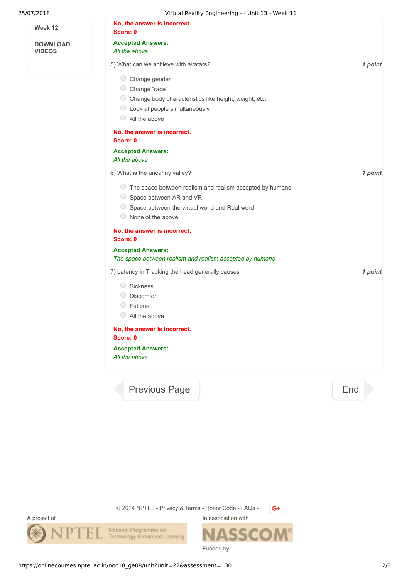| 25/07/2018                       | Virtual Reality Engineering - - Unit 13 - Week 11                |         |
|----------------------------------|------------------------------------------------------------------|---------|
| Week 12                          | No, the answer is incorrect.<br>Score: 0                         |         |
| <b>DOWNLOAD</b><br><b>VIDEOS</b> | <b>Accepted Answers:</b><br>All the above                        |         |
|                                  | 5) What can we achieve with avatars?                             | 1 point |
|                                  | C Change gender                                                  |         |
|                                  | C Change "race"                                                  |         |
|                                  | C Change body characteristics like height, weight, etc.          |         |
|                                  | $\circ$ Look at people simultaneously                            |         |
|                                  | $\circ$ All the above                                            |         |
|                                  | No, the answer is incorrect.                                     |         |
|                                  | Score: 0<br><b>Accepted Answers:</b>                             |         |
|                                  | All the above                                                    |         |
|                                  | 6) What is the uncanny valley?                                   | 1 point |
|                                  | $\circ$ The space between realism and realism accepted by humans |         |
|                                  | Space between AR and VR                                          |         |
|                                  | $\circ$ Space between the virtual world and Real word            |         |
|                                  | $\circ$ None of the above                                        |         |
|                                  | No, the answer is incorrect.                                     |         |
|                                  | Score: 0                                                         |         |
|                                  | <b>Accepted Answers:</b>                                         |         |
|                                  | The space between realism and realism accepted by humans         |         |
|                                  | 7) Latency in Tracking the head generally causes                 | 1 point |
|                                  | $\bigcirc$<br>Sickness                                           |         |
|                                  | O Discomfort                                                     |         |
|                                  | $\circ$ Fatigue                                                  |         |
|                                  | $\bigcirc$ All the above                                         |         |
|                                  | No, the answer is incorrect.<br>Score: 0                         |         |
|                                  | <b>Accepted Answers:</b><br>All the above                        |         |
|                                  | <b>Previous Page</b>                                             | End     |